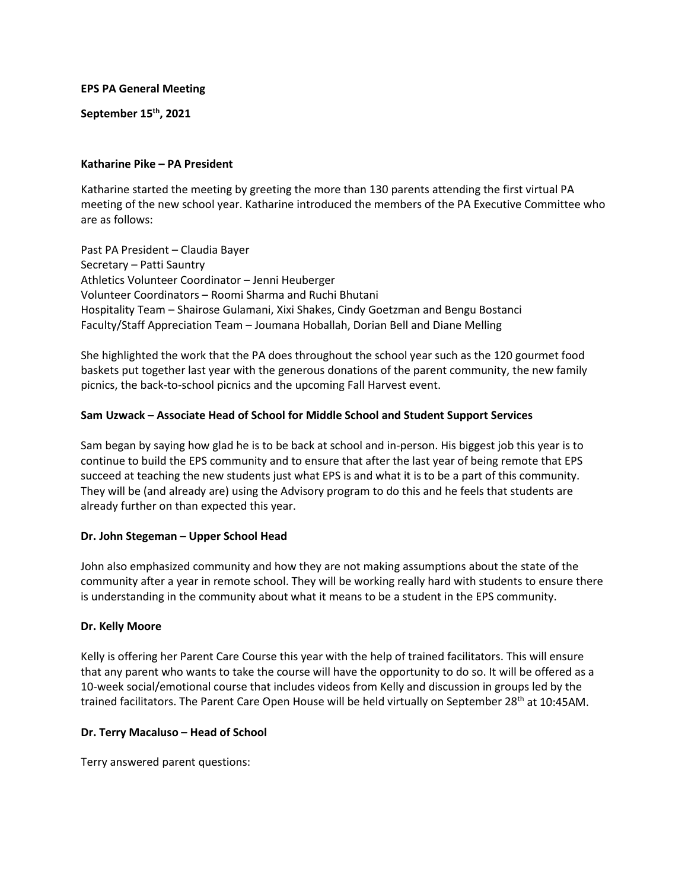**EPS PA General Meeting**

**September 15th, 2021**

### **Katharine Pike – PA President**

Katharine started the meeting by greeting the more than 130 parents attending the first virtual PA meeting of the new school year. Katharine introduced the members of the PA Executive Committee who are as follows:

Past PA President – Claudia Bayer Secretary – Patti Sauntry Athletics Volunteer Coordinator – Jenni Heuberger Volunteer Coordinators – Roomi Sharma and Ruchi Bhutani Hospitality Team – Shairose Gulamani, Xixi Shakes, Cindy Goetzman and Bengu Bostanci Faculty/Staff Appreciation Team – Joumana Hoballah, Dorian Bell and Diane Melling

She highlighted the work that the PA does throughout the school year such as the 120 gourmet food baskets put together last year with the generous donations of the parent community, the new family picnics, the back-to-school picnics and the upcoming Fall Harvest event.

# **Sam Uzwack – Associate Head of School for Middle School and Student Support Services**

Sam began by saying how glad he is to be back at school and in-person. His biggest job this year is to continue to build the EPS community and to ensure that after the last year of being remote that EPS succeed at teaching the new students just what EPS is and what it is to be a part of this community. They will be (and already are) using the Advisory program to do this and he feels that students are already further on than expected this year.

# **Dr. John Stegeman – Upper School Head**

John also emphasized community and how they are not making assumptions about the state of the community after a year in remote school. They will be working really hard with students to ensure there is understanding in the community about what it means to be a student in the EPS community.

# **Dr. Kelly Moore**

Kelly is offering her Parent Care Course this year with the help of trained facilitators. This will ensure that any parent who wants to take the course will have the opportunity to do so. It will be offered as a 10-week social/emotional course that includes videos from Kelly and discussion in groups led by the trained facilitators. The Parent Care Open House will be held virtually on September 28<sup>th</sup> at 10:45AM.

### **Dr. Terry Macaluso – Head of School**

Terry answered parent questions: